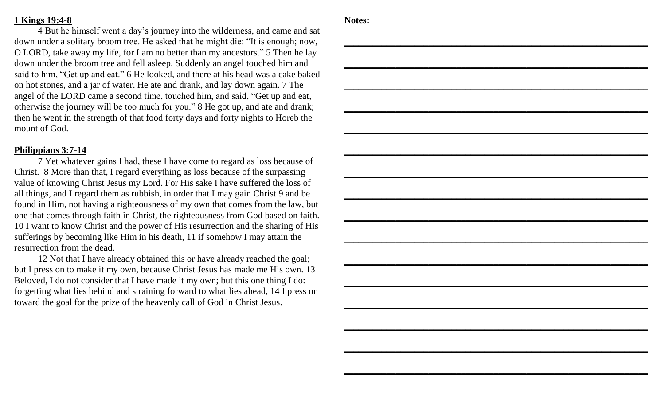## **1 Kings 19:4-8**

4 But he himself went a day's journey into the wilderness, and came and sat down under a solitary broom tree. He asked that he might die: "It is enough; now, O LORD, take away my life, for I am no better than my ancestors." 5 Then he lay down under the broom tree and fell asleep. Suddenly an angel touched him and said to him, "Get up and eat." 6 He looked, and there at his head was a cake baked on hot stones, and a jar of water. He ate and drank, and lay down again. 7 The angel of the LORD came a second time, touched him, and said, "Get up and eat, otherwise the journey will be too much for you." 8 He got up, and ate and drank; then he went in the strength of that food forty days and forty nights to Horeb the mount of God.

## **Philippians 3:7-14**

7 Yet whatever gains I had, these I have come to regard as loss because of Christ. 8 More than that, I regard everything as loss because of the surpassing value of knowing Christ Jesus my Lord. For His sake I have suffered the loss of all things, and I regard them as rubbish, in order that I may gain Christ 9 and be found in Him, not having a righteousness of my own that comes from the law, but one that comes through faith in Christ, the righteousness from God based on faith. 10 I want to know Christ and the power of His resurrection and the sharing of His sufferings by becoming like Him in his death, 11 if somehow I may attain the resurrection from the dead.

12 Not that I have already obtained this or have already reached the goal; but I press on to make it my own, because Christ Jesus has made me His own. 13 Beloved, I do not consider that I have made it my own; but this one thing I do: forgetting what lies behind and straining forward to what lies ahead, 14 I press on toward the goal for the prize of the heavenly call of God in Christ Jesus.

## **Notes:**

**\_\_\_\_\_\_\_\_\_\_\_\_\_\_\_\_\_\_\_\_\_\_\_\_\_\_\_\_\_\_\_\_\_\_\_\_\_\_\_\_\_\_\_\_\_\_\_\_\_\_\_\_\_\_\_\_\_\_\_\_\_\_\_\_\_**

**\_\_\_\_\_\_\_\_\_\_\_\_\_\_\_\_\_\_\_\_\_\_\_\_\_\_\_\_\_\_\_\_\_\_\_\_\_\_\_\_\_\_\_\_\_\_\_\_\_\_\_\_\_\_\_\_\_\_\_\_\_\_\_\_\_**

**\_\_\_\_\_\_\_\_\_\_\_\_\_\_\_\_\_\_\_\_\_\_\_\_\_\_\_\_\_\_\_\_\_\_\_\_\_\_\_\_\_\_\_\_\_\_\_\_\_\_\_\_\_\_\_\_\_\_\_\_\_\_\_\_\_**

**\_\_\_\_\_\_\_\_\_\_\_\_\_\_\_\_\_\_\_\_\_\_\_\_\_\_\_\_\_\_\_\_\_\_\_\_\_\_\_\_\_\_\_\_\_\_\_\_\_\_\_\_\_\_\_\_\_\_\_\_\_\_\_\_\_**

**\_\_\_\_\_\_\_\_\_\_\_\_\_\_\_\_\_\_\_\_\_\_\_\_\_\_\_\_\_\_\_\_\_\_\_\_\_\_\_\_\_\_\_\_\_\_\_\_\_\_\_\_\_\_\_\_\_\_\_\_\_\_\_\_\_**

**\_\_\_\_\_\_\_\_\_\_\_\_\_\_\_\_\_\_\_\_\_\_\_\_\_\_\_\_\_\_\_\_\_\_\_\_\_\_\_\_\_\_\_\_\_\_\_\_\_\_\_\_\_\_\_\_\_\_\_\_\_\_\_\_\_**

**\_\_\_\_\_\_\_\_\_\_\_\_\_\_\_\_\_\_\_\_\_\_\_\_\_\_\_\_\_\_\_\_\_\_\_\_\_\_\_\_\_\_\_\_\_\_\_\_\_\_\_\_\_\_\_\_\_\_\_\_\_\_\_\_\_**

**\_\_\_\_\_\_\_\_\_\_\_\_\_\_\_\_\_\_\_\_\_\_\_\_\_\_\_\_\_\_\_\_\_\_\_\_\_\_\_\_\_\_\_\_\_\_\_\_\_\_\_\_\_\_\_\_\_\_\_\_\_\_\_\_\_**

**\_\_\_\_\_\_\_\_\_\_\_\_\_\_\_\_\_\_\_\_\_\_\_\_\_\_\_\_\_\_\_\_\_\_\_\_\_\_\_\_\_\_\_\_\_\_\_\_\_\_\_\_\_\_\_\_\_\_\_\_\_\_\_\_\_**

**\_\_\_\_\_\_\_\_\_\_\_\_\_\_\_\_\_\_\_\_\_\_\_\_\_\_\_\_\_\_\_\_\_\_\_\_\_\_\_\_\_\_\_\_\_\_\_\_\_\_\_\_\_\_\_\_\_\_\_\_\_\_\_\_\_**

**\_\_\_\_\_\_\_\_\_\_\_\_\_\_\_\_\_\_\_\_\_\_\_\_\_\_\_\_\_\_\_\_\_\_\_\_\_\_\_\_\_\_\_\_\_\_\_\_\_\_\_\_\_\_\_\_\_\_\_\_\_\_\_\_\_**

**\_\_\_\_\_\_\_\_\_\_\_\_\_\_\_\_\_\_\_\_\_\_\_\_\_\_\_\_\_\_\_\_\_\_\_\_\_\_\_\_\_\_\_\_\_\_\_\_\_\_\_\_\_\_\_\_\_\_\_\_\_\_\_\_\_**

**\_\_\_\_\_\_\_\_\_\_\_\_\_\_\_\_\_\_\_\_\_\_\_\_\_\_\_\_\_\_\_\_\_\_\_\_\_\_\_\_\_\_\_\_\_\_\_\_\_\_\_\_\_\_\_\_\_\_\_\_\_\_\_\_\_**

**\_\_\_\_\_\_\_\_\_\_\_\_\_\_\_\_\_\_\_\_\_\_\_\_\_\_\_\_\_\_\_\_\_\_\_\_\_\_\_\_\_\_\_\_\_\_\_\_\_\_\_\_\_\_\_\_\_\_\_\_\_\_\_\_\_**

**\_\_\_\_\_\_\_\_\_\_\_\_\_\_\_\_\_\_\_\_\_\_\_\_\_\_\_\_\_\_\_\_\_\_\_\_\_\_\_\_\_\_\_\_\_\_\_\_\_\_\_\_\_\_\_\_\_\_\_\_\_\_\_\_\_**

**\_\_\_\_\_\_\_\_\_\_\_\_\_\_\_\_\_\_\_\_\_\_\_\_\_\_\_\_\_\_\_\_\_\_\_\_\_\_\_\_\_\_\_\_\_\_\_\_\_\_\_\_\_\_\_\_\_\_\_\_\_\_\_\_\_**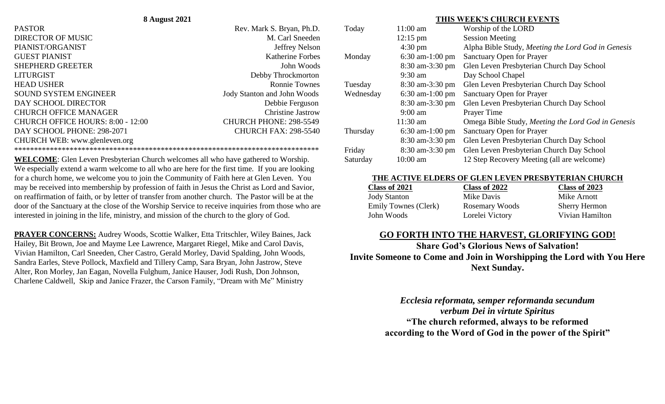| <b>8 August 2021</b>         |                             |           | THIS WEEK'S CHURCH EVENTS |                                                    |  |
|------------------------------|-----------------------------|-----------|---------------------------|----------------------------------------------------|--|
| <b>PASTOR</b>                | Rev. Mark S. Bryan, Ph.D.   | Today     | $11:00$ am                | Worship of the LORD                                |  |
| <b>DIRECTOR OF MUSIC</b>     | M. Carl Sneeden             |           | $12:15 \text{ pm}$        | <b>Session Meeting</b>                             |  |
| PIANIST/ORGANIST             | Jeffrey Nelson              |           | $4:30 \text{ pm}$         | Alpha Bible Study, Meeting the Lord God in Genesis |  |
| <b>GUEST PIANIST</b>         | Katherine Forbes            | Monday    | $6:30$ am-1:00 pm         | <b>Sanctuary Open for Prayer</b>                   |  |
| <b>SHEPHERD GREETER</b>      | John Woods                  |           | 8:30 am-3:30 pm           | Glen Leven Presbyterian Church Day School          |  |
| LITURGIST                    | Debby Throckmorton          |           | $9:30$ am                 | Day School Chapel                                  |  |
| <b>HEAD USHER</b>            | <b>Ronnie Townes</b>        | Tuesday   | 8:30 am-3:30 pm           | Glen Leven Presbyterian Church Day School          |  |
| <b>SOUND SYSTEM ENGINEER</b> | Jody Stanton and John Woods | Wednesday | 6:30 am-1:00 pm           | Sanctuary Open for Prayer                          |  |
| DAY SCHOOL DIRECTOR          | Debbie Ferguson             |           | 8:30 am-3:30 pm           | Glen Leven Presbyterian Church Day School          |  |
| <b>CHURCH OFFICE MANAGER</b> | Christine Jastrow           |           | $9:00$ am                 | Prayer Time                                        |  |

**WELCOME**: Glen Leven Presbyterian Church welcomes all who have gathered to Worship. We especially extend a warm welcome to all who are here for the first time. If you are looking for a church home, we welcome you to join the Community of Faith here at Glen Leven. You may be received into membership by profession of faith in Jesus the Christ as Lord and Savior, on reaffirmation of faith, or by letter of transfer from another church. The Pastor will be at the door of the Sanctuary at the close of the Worship Service to receive inquiries from those who are interested in joining in the life, ministry, and mission of the church to the glory of God.

CHURCH OFFICE HOURS: 8:00 - 12:00 CHURCH PHONE: 298-5549 DAY SCHOOL PHONE: 298-2071 CHURCH FAX: 298-5540

\*\*\*\*\*\*\*\*\*\*\*\*\*\*\*\*\*\*\*\*\*\*\*\*\*\*\*\*\*\*\*\*\*\*\*\*\*\*\*\*\*\*\*\*\*\*\*\*\*\*\*\*\*\*\*\*\*\*\*\*\*\*\*\*\*\*\*\*\*\*\*\*\*\*\*\*\*

CHURCH WEB: www.glenleven.org

**PRAYER CONCERNS:** Audrey Woods, Scottie Walker, Etta Tritschler, Wiley Baines, Jack Hailey, Bit Brown, Joe and Mayme Lee Lawrence, Margaret Riegel, Mike and Carol Davis, Vivian Hamilton, Carl Sneeden, Cher Castro, Gerald Morley, David Spalding, John Woods, Sandra Earles, Steve Pollock, Maxfield and Tillery Camp, Sara Bryan, John Jastrow, Steve Alter, Ron Morley, Jan Eagan, Novella Fulghum, Janice Hauser, Jodi Rush, Don Johnson, Charlene Caldwell, Skip and Janice Frazer, the Carson Family, "Dream with Me" Ministry

#### **THE ACTIVE ELDERS OF GLEN LEVEN PRESBYTERIAN CHURCH**

8:30 am-3:30 pm Glen Leven Presbyterian Church Day School

11:30 am Omega Bible Study, *Meeting the Lord God in Genesis*

| Class of 2021        | Class of 2022         | Class of 2023        |
|----------------------|-----------------------|----------------------|
| <b>Jody Stanton</b>  | Mike Davis            | Mike Arnott          |
| Emily Townes (Clerk) | <b>Rosemary Woods</b> | <b>Sherry Hermon</b> |
| John Woods           | Lorelei Victory       | Vivian Hamilton      |

Friday 8:30 am-3:30 pm Glen Leven Presbyterian Church Day School Saturday 10:00 am 12 Step Recovery Meeting (all are welcome)

Thursday 6:30 am-1:00 pm Sanctuary Open for Prayer

## **GO FORTH INTO THE HARVEST, GLORIFYING GOD!**

**Share God's Glorious News of Salvation! Invite Someone to Come and Join in Worshipping the Lord with You Here Next Sunday.**

> *Ecclesia reformata, semper reformanda secundum verbum Dei in virtute Spiritus* **"The church reformed, always to be reformed according to the Word of God in the power of the Spirit"**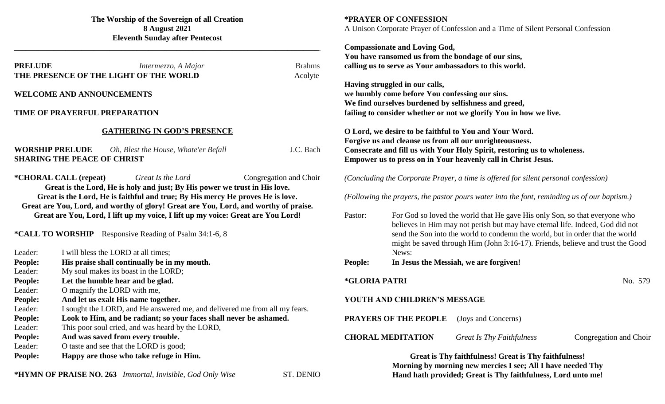#### **The Worship of the Sovereign of all Creation 8 August 2021 Eleventh Sunday after Pentecost**

\_\_\_\_\_\_\_\_\_\_\_\_\_\_\_\_\_\_\_\_\_\_\_\_\_\_\_\_\_\_\_\_\_\_\_\_\_\_\_\_\_\_\_\_\_\_\_\_\_\_\_\_\_\_\_\_\_\_\_\_\_\_\_\_\_\_\_\_\_\_\_\_\_\_\_\_\_

| <b>PRELUDE</b>                                    | Intermezzo, A Major                                                                  | <b>Brahms</b>          | $\mathbf c$          |
|---------------------------------------------------|--------------------------------------------------------------------------------------|------------------------|----------------------|
| THE PRESENCE OF THE LIGHT OF THE WORLD<br>Acolyte |                                                                                      |                        |                      |
|                                                   |                                                                                      |                        | $\mathbf{I}$         |
|                                                   | <b>WELCOME AND ANNOUNCEMENTS</b>                                                     |                        | V                    |
|                                                   |                                                                                      |                        | J                    |
|                                                   | TIME OF PRAYERFUL PREPARATION                                                        |                        | $\mathbf f$          |
|                                                   | <b>GATHERING IN GOD'S PRESENCE</b>                                                   |                        | $\mathbf$            |
|                                                   |                                                                                      |                        | F                    |
| <b>WORSHIP PRELUDE</b>                            | Oh, Blest the House, Whate'er Befall                                                 | J.C. Bach              | $\mathbf$            |
|                                                   | <b>SHARING THE PEACE OF CHRIST</b>                                                   |                        | $\bf{F}$             |
|                                                   |                                                                                      |                        |                      |
|                                                   | <i><b>*CHORAL CALL (repeat)</b></i><br>Great Is the Lord                             | Congregation and Choir | $\left($             |
|                                                   | Great is the Lord, He is holy and just; By His power we trust in His love.           |                        |                      |
|                                                   | Great is the Lord, He is faithful and true; By His mercy He proves He is love.       |                        | $\overline{(\cdot)}$ |
|                                                   | Great are You, Lord, and worthy of glory! Great are You, Lord, and worthy of praise. |                        |                      |
|                                                   | Great are You, Lord, I lift up my voice, I lift up my voice: Great are You Lord!     |                        | F                    |
|                                                   |                                                                                      |                        |                      |
|                                                   | <b>*CALL TO WORSHIP</b> Responsive Reading of Psalm 34:1-6, 8                        |                        |                      |
|                                                   |                                                                                      |                        |                      |
| Leader:                                           | I will bless the LORD at all times;                                                  |                        |                      |
| People:                                           | His praise shall continually be in my mouth.                                         |                        |                      |
| Leader:                                           | My soul makes its boast in the LORD;                                                 |                        |                      |
| People:                                           | Let the humble hear and be glad.                                                     |                        |                      |
| Leader:                                           | O magnify the LORD with me,                                                          |                        |                      |
| People:                                           | And let us exalt His name together.                                                  |                        |                      |
| Leader:                                           |                                                                                      |                        |                      |
|                                                   | I sought the LORD, and He answered me, and delivered me from all my fears.           |                        |                      |
| People:                                           | Look to Him, and be radiant; so your faces shall never be ashamed.                   |                        |                      |
| Leader:                                           | This poor soul cried, and was heard by the LORD,                                     |                        |                      |
| People:                                           | And was saved from every trouble.                                                    |                        |                      |
| Leader:                                           | O taste and see that the LORD is good;                                               |                        |                      |
| People:                                           | Happy are those who take refuge in Him.                                              |                        |                      |
|                                                   |                                                                                      |                        |                      |

**\*HYMN OF PRAISE NO. 263** *Immortal, Invisible, God Only Wise* ST. DENIO

**\*PRAYER OF CONFESSION** A Unison Corporate Prayer of Confession and a Time of Silent Personal Confession

**Compassionate and Loving God, You have ransomed us from the bondage of our sins, calling us to serve as Your ambassadors to this world.**

**Having struggled in our calls, we humbly come before You confessing our sins. We find ourselves burdened by selfishness and greed, failing to consider whether or not we glorify You in how we live.**

**O Lord, we desire to be faithful to You and Your Word. Forgive us and cleanse us from all our unrighteousness. Consecrate and fill us with Your Holy Spirit, restoring us to wholeness. Empower us to press on in Your heavenly call in Christ Jesus.**

*(Concluding the Corporate Prayer, a time is offered for silent personal confession)*

*(Following the prayers, the pastor pours water into the font, reminding us of our baptism.)*

Pastor: For God so loved the world that He gave His only Son, so that everyone who believes in Him may not perish but may have eternal life. Indeed, God did not send the Son into the world to condemn the world, but in order that the world might be saved through Him (John 3:16-17). Friends, believe and trust the Good News:

**People: In Jesus the Messiah, we are forgiven!**

**\*GLORIA PATRI** No. 579

**YOUTH AND CHILDREN'S MESSAGE**

**PRAYERS OF THE PEOPLE** (Joys and Concerns)

**CHORAL MEDITATION** *Great Is Thy Faithfulness* Congregation and Choir

**Great is Thy faithfulness! Great is Thy faithfulness! Morning by morning new mercies I see; All I have needed Thy Hand hath provided; Great is Thy faithfulness, Lord unto me!**